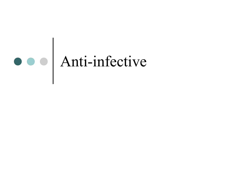# Anti-infective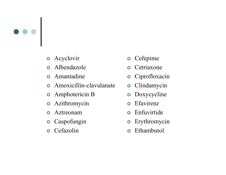

- Acyclovir
- $\bullet$ Albendazole
- Amantadine
- Amoxicillin-clavulanate
- Amphotericin B
- $\bullet$ Azithromycin
- $\bullet$ Aztreonam
- Caspofungin  $\bullet$
- **o** Cefazolin
- $\bullet$ Cefepime
- **o** Cetriaxone
- Ciprofloxacin
- $\bullet$ Clindamycin
- $\bullet$ Doxycycline
- $\bullet$ Efavirenz
- Enfuvirtide
- $\bullet$ Erythromycin
- $\bullet$ Ethambutol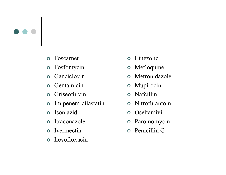

- $\bullet$ Foscarnet
- $\bullet$ Fosfomycin
- $\bullet$ Ganciclovir
- $\bullet$ Gentamicin
- **o** Griseofulvin
- $\bullet$ Imipenem-cilastatin
- $\bullet$ Isoniazid
- $\bullet$ Itraconazole
- **o** Ivermectin
- Levofloxacin
- $\bullet$ Linezolid
- $\bullet$ Mefloquine
- Metronidazole
- $\bullet$ Mupirocin
- $\bullet$ Nafcillin
- Nitrofurantoin
- **o** Oseltamivir
- $\bullet$ Paromomycin
- Penicillin G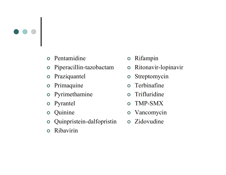

- Pentamidine
- Piperacillin-tazobactam
- $\bullet$ Praziquantel
- Primaquine
- Pyrimethamine
- **o** Pyrantel
- $\bullet$ Quinine
- Quinpristein-dalfopristin
- $\bullet$ Ribavirin
- $\bullet$ Rifampin
- $\bullet$ Ritonavir-lopinavir
- $\bullet$ Streptomycin
- $\bullet$ Terbinafine
- $\bullet$ Trifluridine
- TMP-SMX
- Vancomycin
- Zidovudine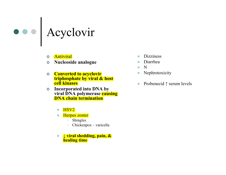

- $\bullet$ **Antiviral**
- $\bullet$ Nucleoside analogue
- **Converted to acyclovir**<br>**Converted to acyclovir** triphosphate by viral & host cell kinases
- o Incorporated into DNA by<br>
viral DNA polymerase course  $\overline{O}$ viral DNA polymerase causing DNA chain termination
	- $\bullet$ HSV2
	- - Herpes zoster
		- •Shingles
		- Chickenpox varicella •
	- $\bullet$  <sup>↓</sup> viral shedding, pain, & healing time
- -**Dizziness**
- -Diarrhea
- $\bullet$ <sup>N</sup>
- Nephrotoxicity -
- $\bullet$ Probenecid ↑ serum levels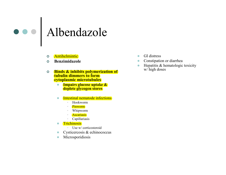#### Albendazole

- $\bullet$ **Antihelmintic**
- $\bullet$ Benzimidazole
- $\bullet$  Binds & inhibits polymerization of tubulin dimmers to form cytoplasmic microtubules
	- **Impairs glucose uptake &**  $\bullet$ deplete glycogen stores
	- $\bullet$  Intestinal nematode infections
		- •Hookworm
		- Pinworm •
		- Whipworm
		- **Ascariasis**
		- Capillariasis
	- $\bullet$ **Trichinosis** 
		- Use w/ corticosteroid
	- Cysticercosis & echinococcus  $\bullet$
	- $\bullet$ Microsporidiosis
- $\bullet$ GI distress
- $\bullet$ Constipation or diarrhea
- $\bullet$  Hepatitis & hematologic toxicity w/ high doses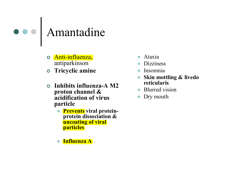#### Amantadine

- o Anti-influenza, antiparkinson
- o Tricyclic amine
- $\bullet$  Inhibits influenza-A M2 proton channel & acidification of virus particle
	- **Prevents** viral proteinprotein dissociation & uncoating of viral particles
	- $\bullet$ Influenza A
- $\bullet$ Ataxia
- $\bullet$ Dizziness
- $\bullet$ Insomnia
- $\bullet$  Skin mottling & livedo reticularis
- Blurred vision
- Dry mouth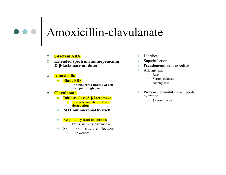#### Amoxicillin-clavulanate

- o β<mark>-lactam ABX</mark>
- $\circ$  Extended spectrum aminopenicillin<br> $\frac{g}{g}$ . B loctomase inhibitor  $\bullet$ & β-lactamase inhibitor
- $\bullet$ **Amoxicillin** 
	- $\bullet$  Binds PBP
		- Inhibits cross-linking of cell •wall peptidoglycan

#### $\bullet$ Clavulanate

- $\bullet$  Inhibits class-A β-lactamase
	- Protects amoxicillin from **destruction**
- NOT antimicrobial by itself  $\bullet$

#### $\bullet$ Respiratory tract infections

- Otitis, sinusitis, pneumonia
- $\bullet$  Skin or skin structure infections  $\bullet$ 
	- •Bite wounds
- $\bullet$ Diarrhea
- $\bullet$ Superinfection
- -Pseudomembranous colitis
- $\bullet$  Allergic rxn
	- •Rash
	- Serum sickness
	- anaphylaxis
- $\bullet$  Probenecid inhibits renal tubular excretion
	- <sup>↑</sup> serum levels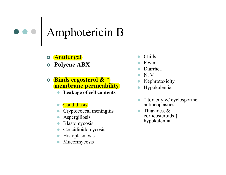#### Amphotericin B

- $\bullet$ Antifungal
- Polyene ABX

#### Binds ergosterol & ↑ membrane permeability

- Leakage of cell contents  $\bullet$
- $\bullet$ **Candidiasis**
- $\bullet$ Cryptococcal meningitis
- $\bullet$ Aspergillosis
- Blastomycosis
- Coccidioidomycosis
- $\bullet$ Histoplasmosis
- $\bullet$ Mucormycosis
- $\bullet$ Chills
- $\bullet$ Fever
- $\bullet$ Diarrhea
- $\bullet$ N, V
- Nephrotoxicity  $\bullet$
- $\bullet$ Hypokalemia
- $\bullet$  <sup>↑</sup> toxicity w/ cyclosporine, antineoplastics
- $\bullet$  Thiazides, & corticosteroids ↑hypokalemia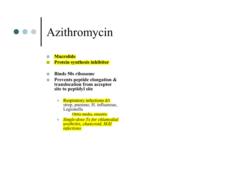#### Azithromycin

- $\bullet$ **Macrolide**
- $\bullet$ Protein synthesis inhibitor
- $\bullet$ Binds 50s ribosome
- $\bullet$  Prevents peptide elongation & translocation from acceptor site to peptidyl site
	- $\bullet$  Respiratory infections d/t strep, pneumo, H. influenzae, Legionella
		- Otitis media, sinusitis
	- $\bullet$  Single-dose Tx for chlamydial urethritis, chancroid, MAI **infections**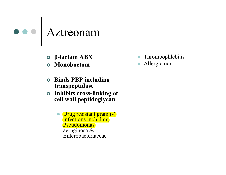

- β-lactam ABX
- Monobactam
- **Solutions PBP** including transpeptidase
- o Inhibits cross-linking of cell wall peptidoglycan
	- $\bullet$  Drug resistant gram (-) infections including Pseudomonas aeruginosa & Enterobacteriaceae
- $\bullet$ Thrombophlebitis
- $\bullet$ Allergic rxn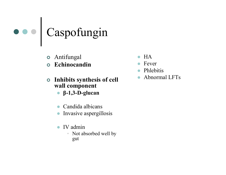

- Antifungal
- Echinocandin
- Inhibits synthesis of cell wall component
	- β-1,3-D-glucan
	- $\bullet$ Candida albicans
	- $\bullet$ Invasive aspergillosis
	- $\bullet$  IV admin
		- Not absorbed well by gut
- $\bullet$ **HA**
- Fever  $\bullet$
- $\bullet$ Phlebitis
- $\bullet$ Abnormal LFTs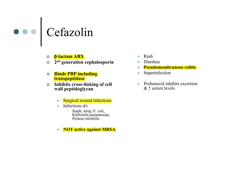#### Cefazolin

- ο <mark>β-lactam ABX</mark>
- o 2<sup>nd</sup> generation cephalosporin
- $\bullet$  Binds PBP including transpeptidase
- o Inhibits cross-linking of cell  $\bullet$ wall peptidoglycan
	- $\bullet$ Surgical wound infections
	- - Infections d/t
		- • Staph, strep, E. coli, Klebsiella pneumoniae, Proteus mirabilis
	- -NOT active against MRSA
- -Rash
- -Diarrhea
- Pseudomembranous colitis
- $\bullet$ Superinfection
- $\bullet$  Probenecid inhibits excretion & ↑ serum levels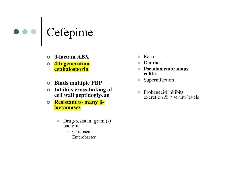

- β-lactam ABX
- o 4th generation **cephalosporin**
- Binds multiple PBP
- o Inhibits cross-linking of cell wall peptidoglycan
- Resistant to many β**lactamases** 
	- $\bullet$  Drug-resistant gram (-) bacteria
		- Citrobacter •
		- •Enterobacter
- -Rash
- $\bullet$ Diarrhea
- $\bullet$  Pseudomembranous colitis
- Superinfection  $\bullet$
- $\bullet$  Probenecid inhibits excretion & ↑ serum levels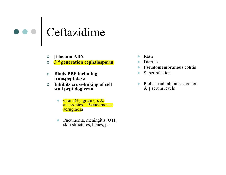# Ceftazidime

- β-lactam ABX
- **o** 3<sup>rd</sup> generation cephalosporin
- **Solutions** PBP including transpeptidase
- o Inhibits cross-linking of cell  $\bullet$ wall peptidoglycan
	- $Gram (+), gram (-), &$ anaerobics – Pseudomonas)<br>aeruginosa aeruginosa
	- - Pneumonia, meningitis, UTI, skin structures, bones, jts
- -Rash
- -Diarrhea
- Pseudomembranous colitis
- $\bullet$ Superinfection
- Probenecid inhibits excretion  $& \uparrow$  serum levels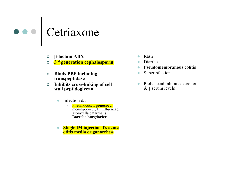

- β-lactam ABX
- **o** 3<sup>rd</sup> generation cephalosporin
- **Solutions** PBP including transpeptidase
- o Inhibits cross-linking of cell wall peptidoglycan
	- - Infection d/t
		- •**•** Pneumococci, gonococci, meningococci, H. influenzae, Moraxella catarrhalis, Borrelia burgdorferi
	- -**Single IM injection Tx acute** otitis media or gonorrhea
- $\bullet$ Rash
- -Diarrhea
- Pseudomembranous colitis
- $\bullet$ Superinfection
- Probenecid inhibits excretion  $& \uparrow$  serum levels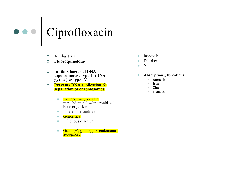### Ciprofloxacin

- $\bullet$ Antibacterial
- $\bullet$ Fluoroquinolone
- $\bullet$  Inhibits bacterial DNA topoisomerase type II (DNA gyrase)  $\&$  type IV
- Prevents DNA replication &  $\bullet$ separation of chromosomes
	- $\bullet$  Urinary tract, prostate, intraabdominal w/ metronidazole, bone or jt, skin
	- Inhalational anthrax  $\bullet$
	- Gonorrhea
	- $\bullet$ Infectious diarrhea
	- $\bullet$  Gram (+), gram (-), Pseudomonas aeruginosa
- $\bullet$ Insomnia
- -Diarrhea
- $\bullet$ N
- -Absorption  $\downarrow$  by cations
	- •Antacids
	- Iron
	- Zinc
	- bismuth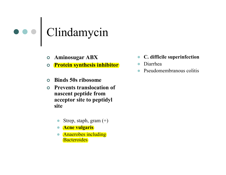### Clindamycin

- Aminosugar ABX
- **o** Protein synthesis inhibitor  $\bullet$
- $\mathbf O$ Binds 50s ribosome
- $\Omega$  Prevents translocation of nascent peptide from acceptor site to peptidyl site
	- $\bullet$ Strep, staph, gram (+)
	- <mark>Acne vulgaris</mark>
	- $\bullet$  Anaerobes including **Bacteroides**
- $\bullet$ C. difficile superinfection
- $\bullet$ Diarrhea
- $\bullet$ Pseudomembranous colitis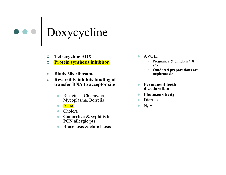### Doxycycline

- $\bullet$ Tetracycline ABX
- **o** Protein synthesis inhibitor  $\bullet$
- $\bullet$ Binds 30s ribosome
- $\bullet$  Reversibly inhibits binding of transfer RNA to acceptor site
	- $\bullet$  Rickettsia, Chlamydia, Mycoplasma, Borrelia
	- Acne
	- Cholera
	- Gonorrhea & syphilis in PCN allergic pts
	- Brucellosis & ehrlichiosis  $\bullet$
- $\bullet$  AVOID
	- Pregnancy & children  $> 8$ y/o
	- Outdated preparations are •nephrotoxic
- $\bullet$  Permanent teeth discoloration
- Photosensitivity -
- Diarrhea
- $\bullet$ N, V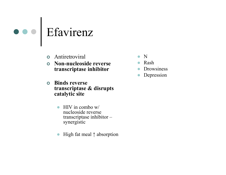

- **o** Antiretroviral
- $\bullet$  Non-nucleoside reverse transcriptase inhibitor
- **o** Binds reverse transcriptase & disrupts catalytic site
	- $\bullet$  HIV in combo w/ nucleoside reverse transcriptase inhibitor –synergistic
	- $\bullet$ High fat meal ↑ absorption
- $\bullet$ <sup>N</sup>
- Rash
- $\bullet$ Drowsiness
- $\bullet$ Depression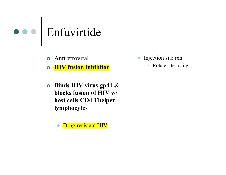

Antiretroviral

 $\bullet$ HIV fusion inhibitor

- Binds HIV virus gp41 & blocks fusion of HIV w/ host cells CD4 Thelperlymphocytes
	- $\bullet$ Drug-resistant HIV
- $\bullet$  Injection site rxn
	- •Rotate sites daily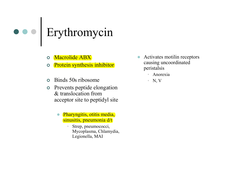#### Erythromycin

- $\bullet$ Macrolide ABX
- Protein synthesis inhibitor  $\bullet$
- $\bullet$ Binds 50s ribosome
- **o** Prevents peptide elongation & translocation from acceptor site to peptidyl site
	- $\bullet$  Pharyngitis, otitis media, sinusitis, pneumonia d/t
		- $\bullet$  Strep, pneumococci, Mycoplasma, Chlamydia, Legionella, MAI
- $\bullet$  Activates motilin receptors causing uncoordinated peristalsis
	- Anorexia
	- N, V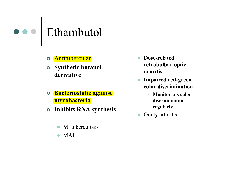### Ethambutol

- o <mark>Antitubercular</mark>
- Synthetic butanol derivative
- o Bacteriostatic against mycobacteria
- Inhibits RNA synthesis
	- $\bullet$ M. tuberculosis
	- MAI
- - Dose-related retrobulbar optic neuritis
- $\bullet$  Impaired red-green color discrimination
	- • Monitor pts color discrimination regularly
- $\bullet$ Gouty arthritis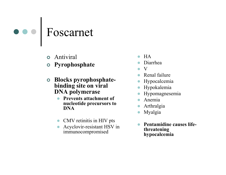

- **o** Antiviral
- Pyrophosphate
- **o** Blocks pyrophosphate-<br>binding site on vivel binding site on viral DNA polymerase
	- Prevents attachment of  $\bullet$ nucleotide precursors to DNA
	- CMV retinitis in HIV pts
	- Acyclovir-resistant HSV in immunocompromised
- $\bullet$ HA
- Diarrhea  $\bullet$
- $\bullet$ <sup>V</sup>
- Renal failure  $\bullet$
- $\bullet$ Hypocalcemia
- $\bullet$ Hypokalemia
- $\bullet$ Hypomagnesemia
- $\bullet$ Anemia
- $\bullet$ Arthralgia
- $\bullet$ Myalgia
- $\bullet$  Pentamidine causes lifethreatening hypocalcemia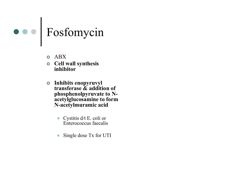

- $\bullet$  ABX
- o Cell wall synthesis inhibitor
- Inhibits enopyruvyl<br>transformse & additional transferase & addition of phosphenolpyruvate to N-<br>acetylolucosamine to form acetylglucosamine to form N-acetylmuramic acid
	- $\bullet$  Cystitis d/t E. coli or Enterococcus faecalis
	- $\bullet$ Single dose Tx for UTI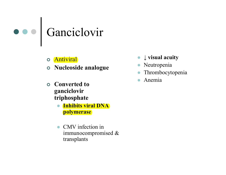

- o <mark>Antiviral</mark>
- Nucleoside analogue
- Converted to ganciclovir triphosphate
	- Inhibits viral DNA  $\bullet$ polymerase
	- CMV infection in immunocompromised & transplants
- $\bullet$ <sup>↓</sup> visual acuity
- $\bullet$ Neutropenia
- $\bullet$ Thrombocytopenia
- $\bullet$ Anemia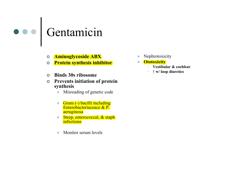#### Gentamicin

- o Aminoglycoside ABX
- **o** Protein synthesis inhibitor
- $\bullet$ Binds 30s ribosome
- **O** Prevents initiation of protein synthesis
	- Misreading of genetic code  $\bullet$
	- Gram (-) bacilli including<br>Enterskateriassesse & B Enterobacteriaceace & P. aeruginosa
	- Strep, enterococcal, & staph  $\bullet$ **infections**
	- -Monitor serum levels
- -Nephrotoxicity
- **•** Ototoxicity
	- Vestibular & cochlear
	- <sup>↑</sup> w/ loop diuretics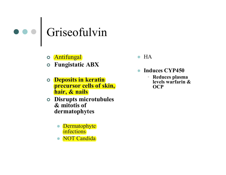## Griseofulvin

- o <mark>Antifungal</mark>
- Fungistatic ABX
- **O** Deposits in keratin precursor cells of skin, hair, & nails
- **O** Disrupts microtubules & mitotis of dermatophytes
	- Dermatophyte infections
	- NOT Candida
- $\bullet$  HA
- $\bullet$  Induces CYP450
	- • Reduces plasma levels warfarin & **OCP**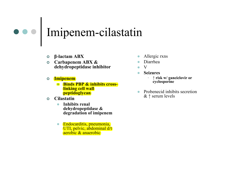#### Imipenem-cilastatin

- β-lactam ABX
- **O** Carbapenem ABX &<br>debydropentidase inh dehydropeptidase inhibitor
- $\bullet$  Imipenem
	- Binds PBP & inhibits crosslinking cell wall peptidoglycan
- $\Omega$ **Cilastatin** 
	- $\bullet$  Inhibits renal dehydropeptidase & degradation of imipenem
	- $\bullet$  Endocarditis, pneumonia, UTI, pelvic, abdominal d/t aerobic & anaerobic
- $\bullet$ Allergic rxns
- -Diarrhea
- -V
- - Seizures
	- <sup>↑</sup> risk w/ ganciclovir or cyclosporine
- $\bullet$  Probenecid inhibits secretion & ↑ serum levels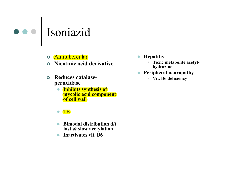

- o Antitubercular
- Nicotinic acid derivative
- $\bullet$  Reduces catalaseperoxidase
	- Inhibits synthesis of mycolic acid component of cell wall
	- $\bullet$ **TB**
	- $\bullet$  Bimodal distribution d/t fast & slow acetylation
	- $\bullet$ Inactivates vit. B6
- $\bullet$ **Hepatitis** 
	- Toxic metabolite acetylhydrazine
- Peripheral neuropathy  $\bullet$ 
	- Vit. B6 deficiency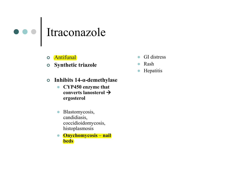# Itraconazole

- $\bullet$ **Antifunal**
- $\bullet$  Synthetic triazole
	-
- $\bullet$  Inhibits 14-α-demethylase
	- $\bullet$  CYP450 enzyme that converts lanosterol  $\bm{\rightarrow}$ ergosterol
	- $\bullet$  Blastomycosis, candidiasis, coccidioidomycosis, histoplasmosis
	- Onychomycosis nail **beds**
- $\bullet$ GI distress
- $\bullet$ Rash
- $\bullet$ **Hepatitis**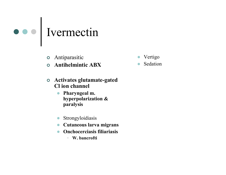

- Antiparasitic
- $\bullet$ Antihelmintic ABX
- Activates glutamate-gated Cl ion channel
	- Pharyngeal m. hyperpolarization & paralysis
	- Strongyloidiasis
	- $\bullet$ Cutaneous larva migrans
	- $\bullet$  Onchocerciasis filiariasis
		- W. bancrofti
- $\bullet$ Vertigo
- $\bullet$ Sedation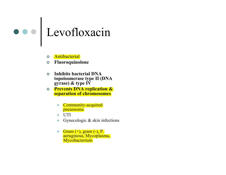#### Levofloxacin

- $\bullet$ **Antibacterial**
- $\bullet$ Fluoroquinolone
- $\bullet$  Inhibits bacterial DNA topoisomerase type II (DNA gyrase) & type IV
- **Prevents DNA replication & concerned**  $\bullet$ separation of chromosomes
	- Community-acquired pneumonia
	- $\bullet$ UTI
	- $\bullet$ Gynecologic & skin infections
	- Gram  $(+)$ , gram  $(-)$ , P. aeruginosa, Mycoplasma, **Mycobacterium**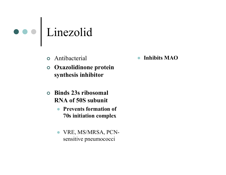

Antibacterial

 Oxazolidinone protein synthesis inhibitor

- Binds 23s ribosomal RNA of 50S subunit
	- $\bullet$  Prevents formation of 70s initiation complex
	- $\bullet$  VRE, MS/MRSA, PCNsensitive pneumococci

 $\bullet$ Inhibits MAO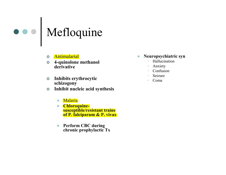

- o <mark>Antimalarial</mark>
- $\bullet$  4-quinolone methanol derivative
- **o** Inhibits erythrocytic schizogony
- Inhibit nucleic acid synthesis  $\bullet$ 
	- Malaria
	- Chloroquinesusceptible/resistant trains of P. falciparum & P. vivax
	- $\bullet$  Perform CBC during chronic prophylactic Tx
- $\bullet$  Neuropsychiatric syn
	- •Hallucination
	- Anxiety
	- Confusion
	- Seizure
	- •Coma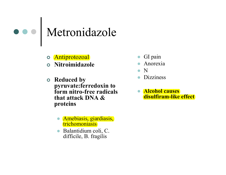#### Metronidazole

- Antiprotozoal
- Nitroimidazole
- Reduced by<br>municipality pyruvate:ferredoxin to form nitro-free radicals that attack DNA & proteins
	- Amebiasis, giardiasis, trichomoniasis
	- Balantidium coli, C. difficile, B. fragilis
- $\bullet$ GI pain
- $\bullet$ Anorexia
- $\bullet$ N
- Dizziness  $\bullet$
- **Alcohol causes** disulfiram-like effect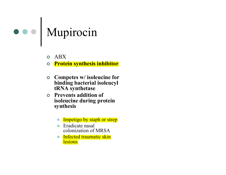# Mupirocin

- o ABX
- **o** Protein synthesis inhibitor  $\bullet$
- $\bullet$  Competes w/ isoleucine for binding bacterial isoleucyltRNA synthetase
- **O** Prevents addition of isoleucine during protein synthesis
	- Impetigo by staph or strep
	- Eradicate nasal colonization of MRSA
	- Infected traumatic skin **lesions**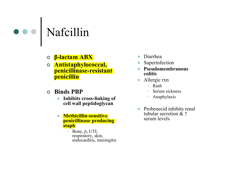#### Nafcillin

- β-lactam ABX
- o **Antistaphylococcal,** penicillinase-resistant penicillin
- Binds PBP
	- Inhibits cross-linking of  $\bullet$ cell wall peptidoglycan
	- $\bullet$  Methicillin-sensitive penicillinase producing staph
		- Bone, jt, UTI, •respiratory, skin, endocarditis, meningitis
- $\bullet$ Diarrhea
- $\bullet$ Superinfection
- $\bullet$  Pseudomembranous colitis
- $\bullet$  Allergic rxn
	- Rash
	- Serum sickness
	- Anaphylaxis
- $\bullet$  Probenecid inhibits renal tubular secretion & ↑serum levels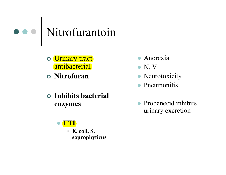### Nitrofurantoin

- Urinary tract antibacterial
- Nitrofuran
- Inhibits bacterial enzymes

#### $\bullet$ UTI

• E. coli, S. saprophyticus

- Anorexia
- $\bullet$  N, V
- Neurotoxicity
- Pneumonitis
- Probenecid inhibits urinary excretion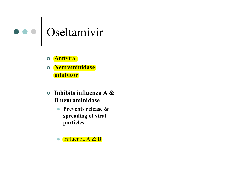

- o <mark>Antiviral</mark>
- o <mark>Neuraminidase</mark> **inhibitor**
- Inhibits influenza A & B neuraminidase
	- $\bullet$  Prevents release & spreading of viral particles
	- $\bullet$ Influenza A & B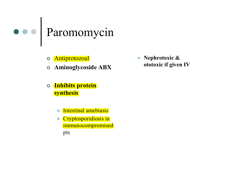

o <mark>Antiprotozoal</mark>

Aminoglycoside ABX

- $\bullet$  Inhibits protein **synthesis** 
	- $\bullet$ Intestinal amebiasis
	- Cryptosporidiosis in immunocompromised pts

 $\bullet$  Nephrotoxic & ototoxic if given IV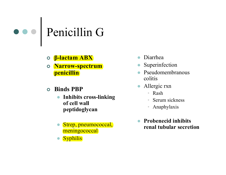# Penicillin G

- o β<mark>-lactam ABX</mark>
- o Narrow-spectrum penicillin
- Binds PBP
	- Inhibits cross-linking  $\bullet$ of cell wall peptidoglycan
	- Strep, pneumococcal, meningococcal
	- $\bullet$ **Syphilis**
- $\bullet$ Diarrhea
- $\bullet$ Superinfection
- $\bullet$  Pseudomembranous colitis
- $\bullet$  Allergic rxn
	- Rash
	- Serum sickness•
	- Anaphylaxis
- $\bullet$  Probenecid inhibits renal tubular secretion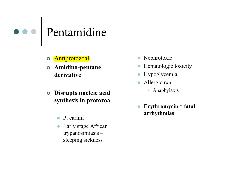# Pentamidine

- o <mark>Antiprotozoal</mark>
- Amidino-pentane derivative
- Disrupts nucleic acid synthesis in protozoa
	- $\bullet$ P. carinii
	- $\bullet$  Early stage African trypanosimiasis – sleeping sickness
- Nephrotoxic
- $\bullet$ Hematologic toxicity
- $\bullet$ Hypoglycemia
- $\bullet$  Allergic rxn
	- Anaphylaxis
- $\bullet$  Erythromycin ↑ fatal arrhythmias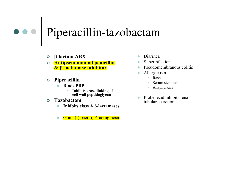# Piperacillin-tazobactam

- β-lactam ABX
- 0 Antipseudomonal penicillin<br>8 B-lactamase inhibitor & β-lactamase inhibitor
- o Piperacillin<br>Ti bu
	- $\bullet$  Binds PBP
		- Inhibits cross-linking of cell wall peptidoglycan
- $\bullet$  Tazobactam
	- $\bullet$  Inhibits class A β-lactamases  $\bullet$
	- -Gram (-) bacilli, P. aeruginosa
- -Diarrhea
- $\bullet$ Superinfection
- $\bullet$ Pseudomembranous colitis
- - Allergic rxn
	- •Rash
	- Serum sickness
	- Anaphylaxis
- $\bullet$  Probenecid inhibits renal tubular secretion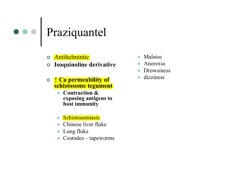#### Praziquantel

- o Antihelmintic
- Isoquinoline derivative
- <sup>↑</sup> Ca permeability of schistosome tegument
	- $\bullet$  Contraction & exposing antigens to host immunity
	- Schistosomiasis
	- $\bullet$ Chinese liver fluke
	- $\bullet$ Lung fluke
	- $\bullet$ Cestodes – tapeworms
- $\bullet$ Malaise
- $\bullet$ Anorexia
- $\bullet$ **Drowsiness**
- $\bullet$ dizziness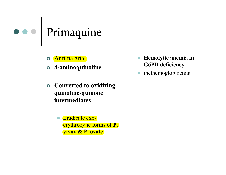

- o <mark>Antimalarial</mark>
- 8-aminoquinoline
- Converted to oxidizing quinoline-quinoneintermediates
	- $\bullet$  Eradicate exoerythrocytic forms of P. vivax & P. ovale
- $\bullet$  Hemolytic anemia in G6PD deficiency
- $\bullet$ methemoglobinemia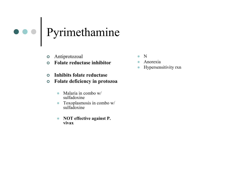#### Pyrimethamine

- Antiprotozoal
- Folate reductase inhibitor
- $\bullet$ Inhibits folate reductase
- $\bullet$  Folate deficiency in protozoa
	- $\bullet$  Malaria in combo w/ sulfadoxine
	- $\bullet$  Toxoplasmosis in combo w/  $\bullet$ sulfadoxine
	- $\bullet$  NOT effective against P. vivax
- $\bullet$ N
- **Anorexia** -
- Hypersensitivity rxn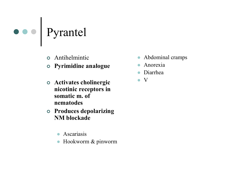#### Pyrantel

- Antihelmintic
- Pyrimidine analogue
- Activates cholinergic nicotinic receptors in somatic m. of nematodes
- Produces depolarizing NM blockade
	- $\bullet$ Ascariasis
	- $\bullet$ Hookworm & pinworm
- Abdominal cramps
- $\bullet$ Anorexia
- $\bullet$ Diarrhea
- $\bullet$ <sup>V</sup>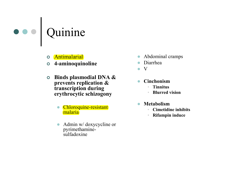

- Antimalarial
- 4-aminoquinoline
- $\bullet$  Binds plasmodial DNA & prevents replication & transcription during erythrocytic schizogony
	- Chloroquine-resistant malaria
	- $\bullet$  Admin w/ doxycycline or pyrimethaminesulfadoxine
- $\bullet$ Abdominal cramps
- $\bullet$ Diarrhea
- $\bullet$ <sup>V</sup>
- $\bullet$  Cinchonism
	- Tinnitus
	- Blurred vision
- $\bullet$  Metabolism
	- Cimetidine inhibits<br>
	a Diferential induced
	- Rifampin induce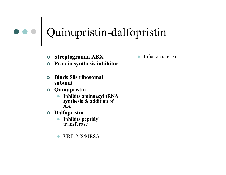#### Quinupristin-dalfopristin

- o Streptogramin ABX
- Protein synthesis inhibitor
- $\bullet$  Binds 50s ribosomal subunit
- Quinupristin
	- $\bullet$  Inhibits aminoacyl tRNA synthesis & addition of AA
- Dalfopristin
	- Inhibits peptidyl transferase
	- $\bullet$ VRE, MS/MRSA

-Infusion site rxn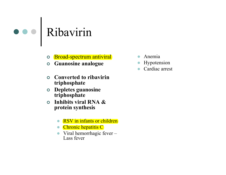#### Ribavirin

- o Broad-spectrum antiviral
- Guanosine analogue
- $\bullet$  Converted to ribavirin triphosphate
- **O** Depletes guanosine triphosphate
- o Inhibits viral RNA  $\&$ protein synthesis
	- $\bullet$ RSV in infants or children
	- Chronic hepatitis C
	- Viral hemorrhagic fever Lass fever
- $\bullet$ Anemia
- $\bullet$ Hypotension
- $\bullet$ Cardiac arrest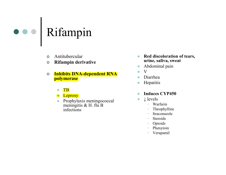

- $\Omega$ Antitubercular
- $\bullet$ Rifampin derivative
- $\bullet$  Inhibits DNA-dependent RNA polymerase
	- $\bullet$ **TB**
	- **C** Leprosy
	- $\bullet$  Prophylaxis meningococcal meningitis & H. flu B infections
- $\bullet$  Red discoloration of tears, urine, saliva, sweat
- $\bullet$ Abdominal pain
- -<sup>V</sup>
- Diarrhea -
- -**Hepatitis**
- -Induces CYP450
- - <sup>↓</sup> levels
	- Warfarin
	- Theophylline
	- Itraconazole •
	- Steroids
	- Opioids
	- Phenytoin
	- Verapamil•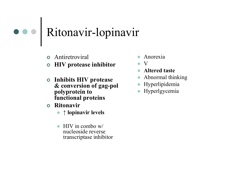#### Ritonavir-lopinavir

- **o** Antiretroviral
- HIV protease inhibitor
- Inhibits HIV protease & conversion of gag-polpolyprotein to functional proteins
- Ritonavir
	- ↑ lopinavir levels
	- $\bullet$  HIV in combo w/ nucleoside reverse transcriptase inhibitor
- $\bullet$ Anorexia
- $\bullet$ V
- Altered taste  $\bullet$
- $\bullet$ Abnormal thinking
- Hyperlipidemia
- $\bullet$ Hyperlgycemia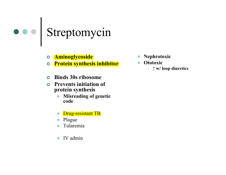#### Streptomycin

- **O** Aminoglycoside
- **o** Protein synthesis inhibitor
- $\Omega$ Binds 30s ribosome
- $\bullet$  Prevents initiation of protein synthesis
	- Misreading of genetic  $\bullet$ code
	- $\bullet$ Drug-resistant TB
	- $\bullet$ Plague
	- $\bullet$ Tularemia
	- $\bullet$ IV admin
- $\bullet$ Nephrotoxic
- $\bullet$ **Ototoxic** 
	- •<sup>↑</sup> w/ loop diuretics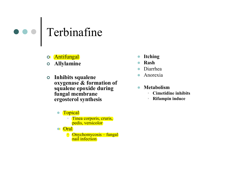

- o Antifungal
- Allylamine
- **o** Inhibits squalene oxygenase & formation of squalene epoxide during fungal membrane ergosterol synthesis
	- $\bullet$ **Topical** 
		- Tinea corporis, cruris,<br>
		pedis versicolor pedis, versicolor
	- Oral
		- Onychomycosis fungal<br>real infection nail infection
- $\bullet$ Itching
- $\bullet$ Rash
- $\bullet$ Diarrhea
- $\bullet$ Anorexia
- $\bullet$  Metabolism
	- Cimetidine inhibits<br>
	a Diferential induced •
	- Rifampin induce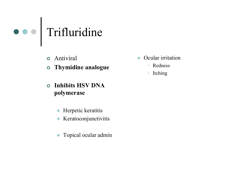

- Antiviral
- Thymidine analogue
- $\bullet$  Inhibits HSV DNA polymerase
	- $\bullet$ Herpetic keratitis
	- $\bullet$ Keratoconjunctivitis
	- $\bullet$ Topical ocular admin
- $\bullet$  Ocular irritation
	- Redness
	- •Itching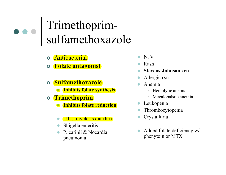#### Trimethoprimsulfamethoxazole

- o <mark>Antibacterial</mark>
- o <mark>Folate antagonist</mark>
- o <mark>Sulfamethoxazole</mark>
	- **Inhibits folate synthesis**
- o <mark>Trimethoprim</mark>
	- **Inhibits folate reduction**
	- UTI, traveler's diarrhea
	- $\bullet$ Shigella enteritis
	- $\bullet$  P. carinii & Nocardia pneumonia
- $\bullet$  N, V
- Rash  $\bullet$
- $\bullet$ Stevens-Johnson syn
- $\bullet$ Allergic rxn
- $\bullet$  Anemia
	- Hemolytic anemia
	- Megalobalstic anemia
- $\bullet$ Leukopenia
- $\bullet$ Thrombocytopenia
- $\bullet$ Crystalluria
- $\bullet$  Added folate deficiency w/ <sup>p</sup>henytoin or MTX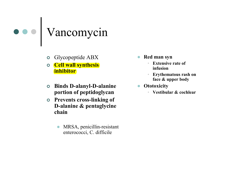

- o Glycopeptide ABX
- **Cell wall synthesis** inhibitor
- Binds D-alanyl-D-alanine portion of peptidoglycan
- o Prevents cross-linking of D-alanine & pentaglycine chain
	- $\bullet$  MRSA, penicillin-resistant enterococci, C. difficile
- Red man syn
	- Extensive rate of infusion
	- Erythematous rash on face & upper body
- Ototoxicity
	- •Vestibular & cochlear